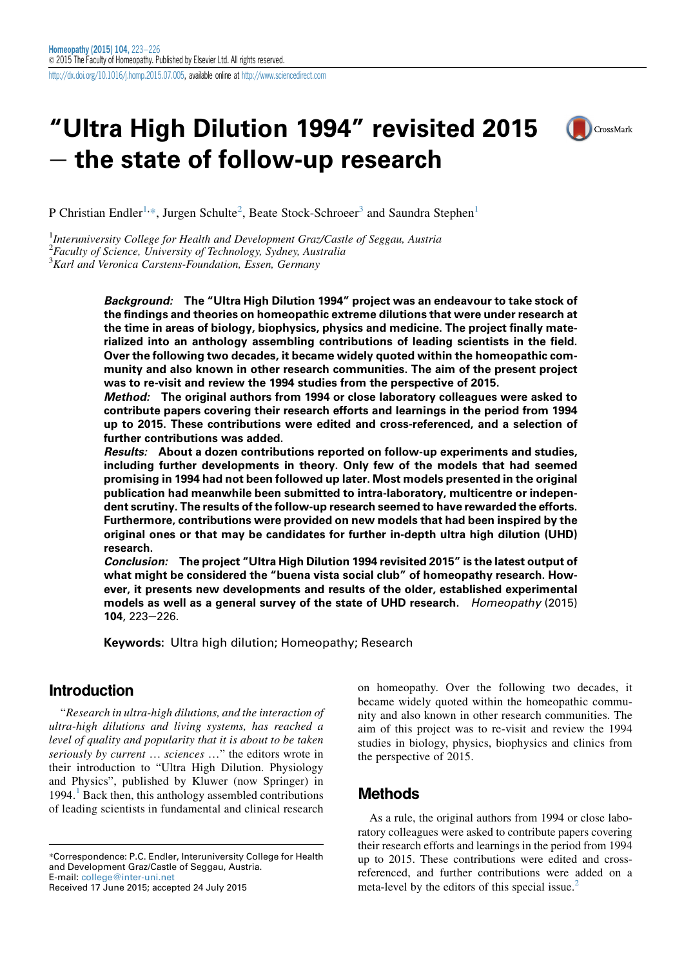# "Ultra High Dilution 1994" revisited 2015  $-$  the state of follow-up research



P Christian Endler<sup>1,\*</sup>, Jurgen Schulte<sup>2</sup>, Beate Stock-Schroeer<sup>3</sup> and Saundra Stephen<sup>1</sup>

<sup>1</sup>Interuniversity College for Health and Development Graz/Castle of Seggau, Austria  $^{2}$ Faculty of Science, University of Technology, Sydney, Australia

<sup>3</sup> Karl and Veronica Carstens-Foundation, Essen, Germany

Background: The "Ultra High Dilution 1994" project was an endeavour to take stock of the findings and theories on homeopathic extreme dilutions that were under research at the time in areas of biology, biophysics, physics and medicine. The project finally materialized into an anthology assembling contributions of leading scientists in the field. Over the following two decades, it became widely quoted within the homeopathic community and also known in other research communities. The aim of the present project was to re-visit and review the 1994 studies from the perspective of 2015.

Method: The original authors from 1994 or close laboratory colleagues were asked to contribute papers covering their research efforts and learnings in the period from 1994 up to 2015. These contributions were edited and cross-referenced, and a selection of further contributions was added.

Results: About a dozen contributions reported on follow-up experiments and studies, including further developments in theory. Only few of the models that had seemed promising in 1994 had not been followed up later. Most models presented in the original publication had meanwhile been submitted to intra-laboratory, multicentre or independent scrutiny. The results of the follow-up research seemed to have rewarded the efforts. Furthermore, contributions were provided on new models that had been inspired by the original ones or that may be candidates for further in-depth ultra high dilution (UHD) research.

Conclusion: The project "Ultra High Dilution 1994 revisited 2015" is the latest output of what might be considered the "buena vista social club" of homeopathy research. However, it presents new developments and results of the older, established experimental models as well as a general survey of the state of UHD research. Homeopathy (2015)  $104, 223 - 226.$ 

Keywords: Ultra high dilution; Homeopathy; Research

### Introduction

"Research in ultra-high dilutions, and the interaction of ultra-high dilutions and living systems, has reached a level of quality and popularity that it is about to be taken seriously by current ... sciences ..." the editors wrote in their introduction to "Ultra High Dilution. Physiology and Physics", published by Kluwer (now Springer) in [1](#page-2-0)994. $<sup>1</sup>$  Back then, this anthology assembled contributions</sup> of leading scientists in fundamental and clinical research

Received 17 June 2015; accepted 24 July 2015

on homeopathy. Over the following two decades, it became widely quoted within the homeopathic community and also known in other research communities. The aim of this project was to re-visit and review the 1994 studies in biology, physics, biophysics and clinics from the perspective of 2015.

## Methods

As a rule, the original authors from 1994 or close laboratory colleagues were asked to contribute papers covering their research efforts and learnings in the period from 1994 up to 2015. These contributions were edited and crossreferenced, and further contributions were added on a meta-level by the editors of this special issue. $<sup>2</sup>$  $<sup>2</sup>$  $<sup>2</sup>$ </sup>

<sup>\*</sup>Correspondence: P.C. Endler, Interuniversity College for Health and Development Graz/Castle of Seggau, Austria. E-mail: [college@inter-uni.net](mailto:college@inter-uni.net)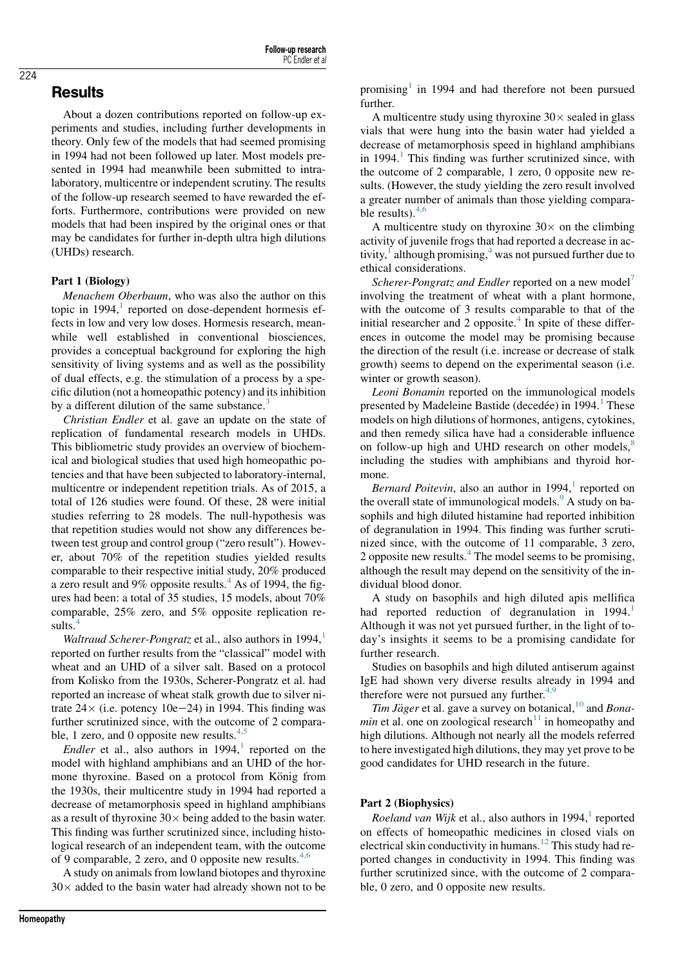# Results

About a dozen contributions reported on follow-up experiments and studies, including further developments in theory. Only few of the models that had seemed promising in 1994 had not been followed up later. Most models presented in 1994 had meanwhile been submitted to intralaboratory, multicentre or independent scrutiny. The results of the follow-up research seemed to have rewarded the efforts. Furthermore, contributions were provided on new models that had been inspired by the original ones or that may be candidates for further in-depth ultra high dilutions (UHDs) research.

 $M$ enachem Oberbaum, who was also the author on this topic in  $1994$  $1994$ ,<sup>1</sup> reported on dose-dependent hormesis effects in low and very low doses. Hormesis research, meanwhile well established in conventional biosciences, provides a conceptual background for exploring the high sensitivity of living systems and as well as the possibility of dual effects, e.g. the stimulation of a process by a specific dilution (not a homeopathic potency) and its inhibition by a different dilution of the same substance.<sup>[3](#page-3-0)</sup>

Christian Endler et al. gave an update on the state of replication of fundamental research models in UHDs. This bibliometric study provides an overview of biochemical and biological studies that used high homeopathic potencies and that have been subjected to laboratory-internal, multicentre or independent repetition trials. As of 2015, a total of 126 studies were found. Of these, 28 were initial studies referring to 28 models. The null-hypothesis was that repetition studies would not show any differences between test group and control group ("zero result"). However, about 70% of the repetition studies yielded results comparable to their respective initial study, 20% produced a zero result and 9% opposite results. $4$  As of 1994, the figures had been: a total of 35 studies, 15 models, about 70% comparable, 25% zero, and 5% opposite replication re-sults.<sup>[4](#page-3-0)</sup>

Waltraud Scherer-Pongratz et al., also authors in [1](#page-2-0)994, $<sup>1</sup>$ </sup> reported on further results from the "classical" model with wheat and an UHD of a silver salt. Based on a protocol from Kolisko from the 1930s, Scherer-Pongratz et al. had reported an increase of wheat stalk growth due to silver nitrate  $24 \times$  (i.e. potency 10e-24) in 1994. This finding was further scrutinized since, with the outcome of 2 comparable, 1 zero, and 0 opposite new results. $4,5$ 

Endler et al., also authors in  $1994$  $1994$ ,<sup>1</sup> reported on the model with highland amphibians and an UHD of the hormone thyroxine. Based on a protocol from König from the 1930s, their multicentre study in 1994 had reported a decrease of metamorphosis speed in highland amphibians as a result of thyroxine  $30 \times$  being added to the basin water. This finding was further scrutinized since, including histological research of an independent team, with the outcome of 9 comparable, 2 zero, and 0 opposite new results.  $4,6$ 

A study on animals from lowland biotopes and thyroxine  $30\times$  added to the basin water had already shown not to be

promising<sup>[1](#page-2-0)</sup> in 1994 and had therefore not been pursued further.

A multicentre study using thyroxine  $30 \times$  sealed in glass vials that were hung into the basin water had yielded a decrease of metamorphosis speed in highland amphibians in  $1994<sup>1</sup>$  $1994<sup>1</sup>$ . This finding was further scrutinized since, with the outcome of 2 comparable, 1 zero, 0 opposite new results. (However, the study yielding the zero result involved a greater number of animals than those yielding comparable results). $4,6$ 

A multicentre study on thyroxine  $30 \times$  on the climbing activity of juvenile frogs that had reported a decrease in activity, $\frac{1}{2}$  although promising, $\frac{4}{3}$  $\frac{4}{3}$  $\frac{4}{3}$  was not pursued further due to ethical considerations.

Scherer-Pongratz and Endler reported on a new model<sup>[7](#page-3-0)</sup> involving the treatment of wheat with a plant hormone, with the outcome of 3 results comparable to that of the initial researcher and 2 opposite. $4$  In spite of these differences in outcome the model may be promising because the direction of the result (i.e. increase or decrease of stalk growth) seems to depend on the experimental season (i.e. winter or growth season).

Leoni Bonamin reported on the immunological models presented by Madeleine Bastide (decedée) in [1](#page-2-0)994.<sup>1</sup> These models on high dilutions of hormones, antigens, cytokines, and then remedy silica have had a considerable influence on follow-up high and UHD research on other models, $8$ including the studies with amphibians and thyroid hormone.

Bernard Poitevin, also an author in  $1994<sup>1</sup>$  $1994<sup>1</sup>$  reported on the overall state of immunological models.<sup>[9](#page-3-0)</sup> A study on basophils and high diluted histamine had reported inhibition of degranulation in 1994. This finding was further scrutinized since, with the outcome of 11 comparable, 3 zero, 2 opposite new results. $4$  The model seems to be promising, although the result may depend on the sensitivity of the individual blood donor.

A study on basophils and high diluted apis mellifica had reported reduction of degranulation in  $1994<sup>1</sup>$  $1994<sup>1</sup>$ Although it was not yet pursued further, in the light of today's insights it seems to be a promising candidate for further research.

Studies on basophils and high diluted antiserum against IgE had shown very diverse results already in 1994 and therefore were not pursued any further. $4,9$ 

Tim Jäger et al. gave a survey on botanical,<sup>[10](#page-3-0)</sup> and *Bonamin* et al. one on zoological research<sup>[11](#page-3-0)</sup> in homeopathy and high dilutions. Although not nearly all the models referred to here investigated high dilutions, they may yet prove to be good candidates for UHD research in the future.

Roeland van Wijk et al., also authors in [1](#page-2-0)994, $^1$  reported on effects of homeopathic medicines in closed vials on electrical skin conductivity in humans.<sup>[12](#page-3-0)</sup> This study had reported changes in conductivity in 1994. This finding was further scrutinized since, with the outcome of 2 comparable, 0 zero, and 0 opposite new results.

### 224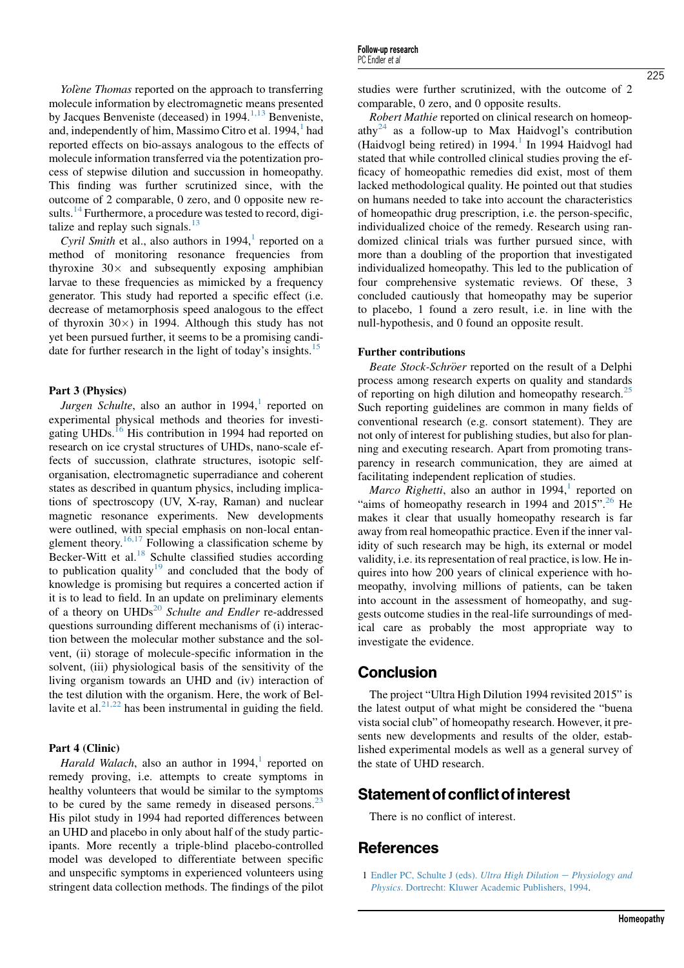<span id="page-2-0"></span>Yolène Thomas reported on the approach to transferring molecule information by electromagnetic means presented by Jacques Benveniste (deceased) in 1994. $^{1,13}$  Benveniste, and, independently of him, Massimo Citro et al.  $1994<sup>1</sup>$  had reported effects on bio-assays analogous to the effects of molecule information transferred via the potentization process of stepwise dilution and succussion in homeopathy. This finding was further scrutinized since, with the outcome of 2 comparable, 0 zero, and 0 opposite new re-sults.<sup>[14](#page-3-0)</sup> Furthermore, a procedure was tested to record, digitalize and replay such signals. $^{13}$  $^{13}$  $^{13}$ 

Cyril Smith et al., also authors in  $1994$ , reported on a method of monitoring resonance frequencies from thyroxine  $30 \times$  and subsequently exposing amphibian larvae to these frequencies as mimicked by a frequency generator. This study had reported a specific effect (i.e. decrease of metamorphosis speed analogous to the effect of thyroxin  $30\times$ ) in 1994. Although this study has not yet been pursued further, it seems to be a promising candidate for further research in the light of today's insights.<sup>15</sup>

Jurgen Schulte, also an author in  $1994$ ,<sup>1</sup> reported on experimental physical methods and theories for investi-gating UHDs.<sup>[16](#page-3-0)</sup> His contribution in 1994 had reported on research on ice crystal structures of UHDs, nano-scale effects of succussion, clathrate structures, isotopic selforganisation, electromagnetic superradiance and coherent states as described in quantum physics, including implications of spectroscopy (UV, X-ray, Raman) and nuclear magnetic resonance experiments. New developments were outlined, with special emphasis on non-local entanglement theory.<sup>16,17</sup> Following a classification scheme by Becker-Witt et al.<sup>[18](#page-3-0)</sup> Schulte classified studies according to publication quality<sup>[19](#page-3-0)</sup> and concluded that the body of knowledge is promising but requires a concerted action if it is to lead to field. In an update on preliminary elements of a theory on  $UHDs<sup>20</sup>$  $UHDs<sup>20</sup>$  $UHDs<sup>20</sup>$  Schulte and Endler re-addressed questions surrounding different mechanisms of (i) interaction between the molecular mother substance and the solvent, (ii) storage of molecule-specific information in the solvent, (iii) physiological basis of the sensitivity of the living organism towards an UHD and (iv) interaction of the test dilution with the organism. Here, the work of Bellavite et al. $21,22$  has been instrumental in guiding the field.

Harald Walach, also an author in  $1994$ ,<sup>1</sup> reported on remedy proving, i.e. attempts to create symptoms in healthy volunteers that would be similar to the symptoms to be cured by the same remedy in diseased persons. $^{23}$  $^{23}$  $^{23}$ His pilot study in 1994 had reported differences between an UHD and placebo in only about half of the study participants. More recently a triple-blind placebo-controlled model was developed to differentiate between specific and unspecific symptoms in experienced volunteers using stringent data collection methods. The findings of the pilot

studies were further scrutinized, with the outcome of 2 comparable, 0 zero, and 0 opposite results.

Robert Mathie reported on clinical research on homeop-athy<sup>[24](#page-3-0)</sup> as a follow-up to Max Haidvogl's contribution (Haidvogl being retired) in  $1994<sup>1</sup>$  In 1994 Haidvogl had stated that while controlled clinical studies proving the efficacy of homeopathic remedies did exist, most of them lacked methodological quality. He pointed out that studies on humans needed to take into account the characteristics of homeopathic drug prescription, i.e. the person-specific, individualized choice of the remedy. Research using randomized clinical trials was further pursued since, with more than a doubling of the proportion that investigated individualized homeopathy. This led to the publication of four comprehensive systematic reviews. Of these, 3 concluded cautiously that homeopathy may be superior to placebo, 1 found a zero result, i.e. in line with the null-hypothesis, and 0 found an opposite result.

Beate Stock-Schröer reported on the result of a Delphi process among research experts on quality and standards of reporting on high dilution and homeopathy research.<sup>[25](#page-3-0)</sup> Such reporting guidelines are common in many fields of conventional research (e.g. consort statement). They are not only of interest for publishing studies, but also for planning and executing research. Apart from promoting transparency in research communication, they are aimed at facilitating independent replication of studies.

*Marco Righetti*, also an author in 1994,<sup>1</sup> reported on "aims of homeopathy research in 1994 and  $2015$ ".<sup>[26](#page-3-0)</sup> He makes it clear that usually homeopathy research is far away from real homeopathic practice. Even if the inner validity of such research may be high, its external or model validity, i.e. its representation of real practice, is low. He inquires into how 200 years of clinical experience with homeopathy, involving millions of patients, can be taken into account in the assessment of homeopathy, and suggests outcome studies in the real-life surroundings of medical care as probably the most appropriate way to investigate the evidence.

### **Conclusion**

The project "Ultra High Dilution 1994 revisited 2015" is the latest output of what might be considered the "buena vista social club" of homeopathy research. However, it presents new developments and results of the older, established experimental models as well as a general survey of the state of UHD research.

### Statement of conflict of interest

There is no conflict of interest.

### **References**

1 [Endler PC, Schulte J \(eds\).](http://refhub.elsevier.com/S1475-4916(15)00060-0/sref1) Ultra High Dilution  $-$  [Physiology and](http://refhub.elsevier.com/S1475-4916(15)00060-0/sref1) Physics[. Dortrecht: Kluwer Academic Publishers, 1994](http://refhub.elsevier.com/S1475-4916(15)00060-0/sref1).